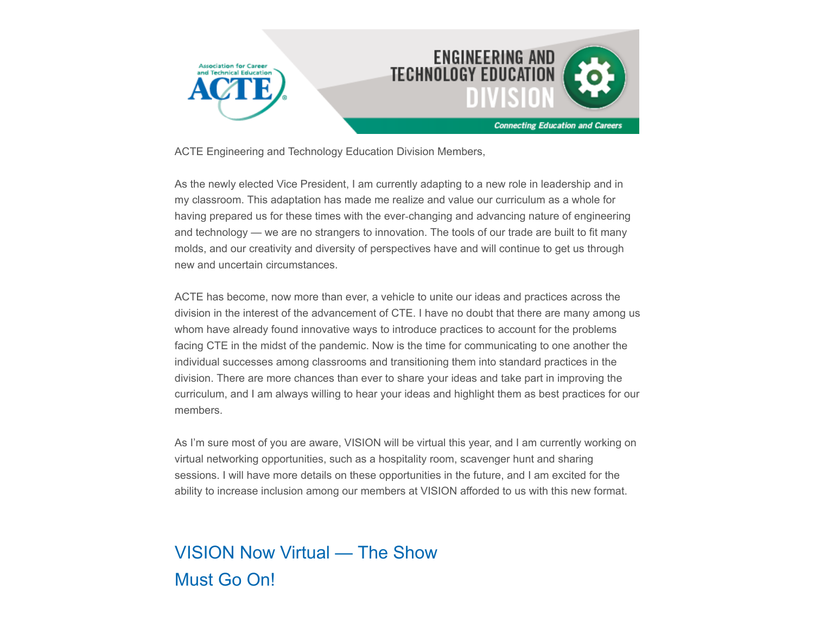

ACTE Engineering and Technology Education Division Members,

As the newly elected Vice President, I am currently adapting to a new role in leadership and in my classroom. This adaptation has made me realize and value our curriculum as a whole for having prepared us for these times with the ever‐changing and advancing nature of engineering and technology — we are no strangers to innovation. The tools of our trade are built to fit many molds, and our creativity and diversity of perspectives have and will continue to get us through new and uncertain circumstances.

ACTE has become, now more than ever, a vehicle to unite our ideas and practices across the division in the interest of the advancement of CTE. I have no doubt that there are many among us whom have already found innovative ways to introduce practices to account for the problems facing CTE in the midst of the pandemic. Now is the time for communicating to one another the individual successes among classrooms and transitioning them into standard practices in the division. There are more chances than ever to share your ideas and take part in improving the curriculum, and I am always willing to hear your ideas and highlight them as best practices for our members.

As I'm sure most of you are aware, VISION will be virtual this year, and I am currently working on virtual networking opportunities, such as a hospitality room, scavenger hunt and sharing sessions. I will have more details on these opportunities in the future, and I am excited for the ability to increase inclusion among our members at VISION afforded to us with this new format.

## VISION Now Virtual — The Show Must Go On!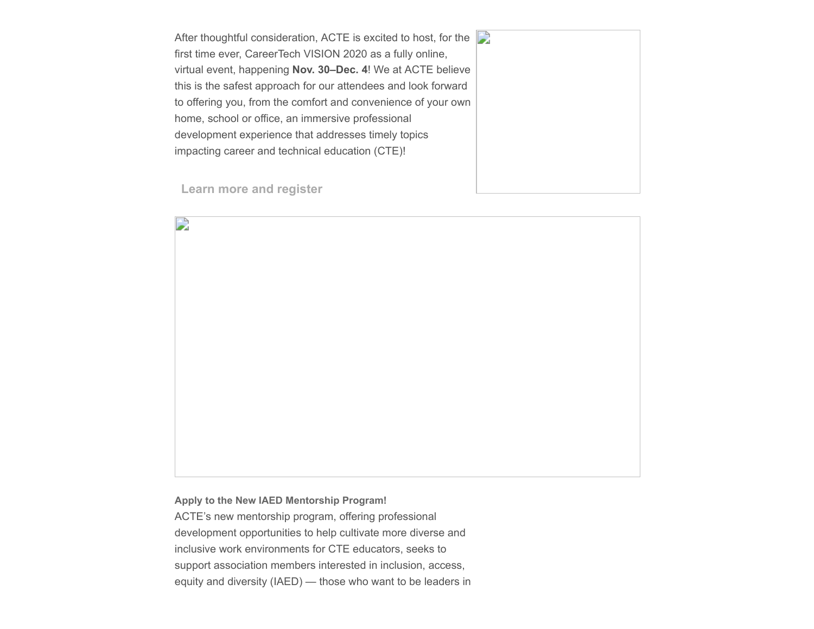After thoughtful consideration, ACTE is excited to host, for the first time ever, CareerTech VISION 2020 as a fully online, virtual event, happening **Nov. 30–Dec. 4**! We at ACTE believe this is the safest approach for our attendees and look forward to offering you, from the comfort and convenience of your own home, school or office, an immersive professional development experience that addresses timely topics impacting career and technical education (CTE)!



**[Learn more and register](https://www.careertechvision.com/index.cfm)**

D

**Apply to the New IAED Mentorship Program!** ACTE's new mentorship program, offering professional development opportunities to help cultivate more diverse and inclusive work environments for CTE educators, seeks to support association members interested in inclusion, access, equity and diversity (IAED) — those who want to be leaders in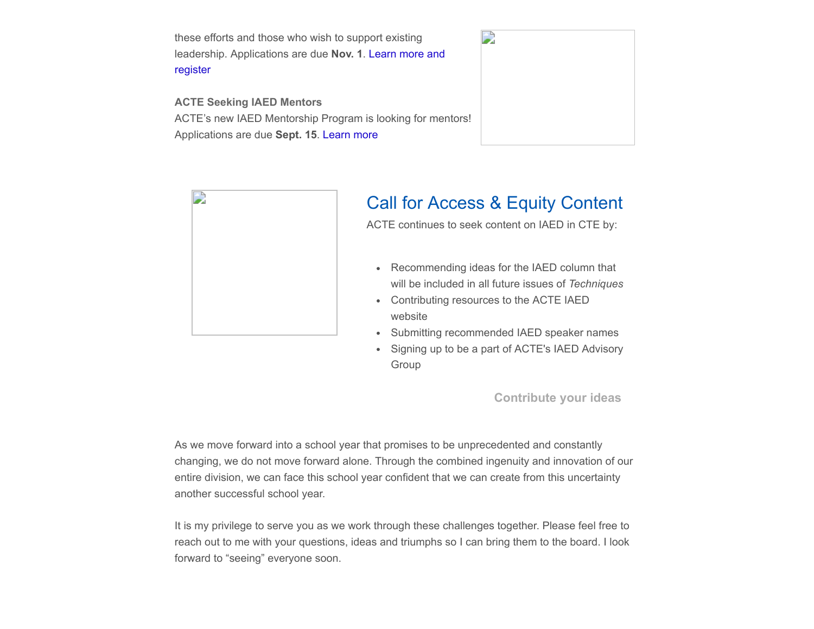these efforts and those who wish to support existing [leadership. Applications are due](https://www.acteonline.org/iaed-mentorship-program/) **Nov. 1**. Learn more and register

**ACTE Seeking IAED Mentors** ACTE's new IAED Mentorship Program is looking for mentors! Applications are due **Sept. 15**. [Learn more](https://www.acteonline.org/iaed-mentorship-program/)





## Call for Access & Equity Content

ACTE continues to seek content on IAED in CTE by:

- Recommending ideas for the IAED column that will be included in all future issues of *Techniques*
- Contributing resources to the ACTE IAED website
- Submitting recommended IAED speaker names
- Signing up to be a part of ACTE's IAED Advisory Group

**[Contribute your ideas](https://www.acteonline.org/iaed/)**

As we move forward into a school year that promises to be unprecedented and constantly changing, we do not move forward alone. Through the combined ingenuity and innovation of our entire division, we can face this school year confident that we can create from this uncertainty another successful school year.

It is my privilege to serve you as we work through these challenges together. Please feel free to reach out to me with your questions, ideas and triumphs so I can bring them to the board. I look forward to "seeing" everyone soon.